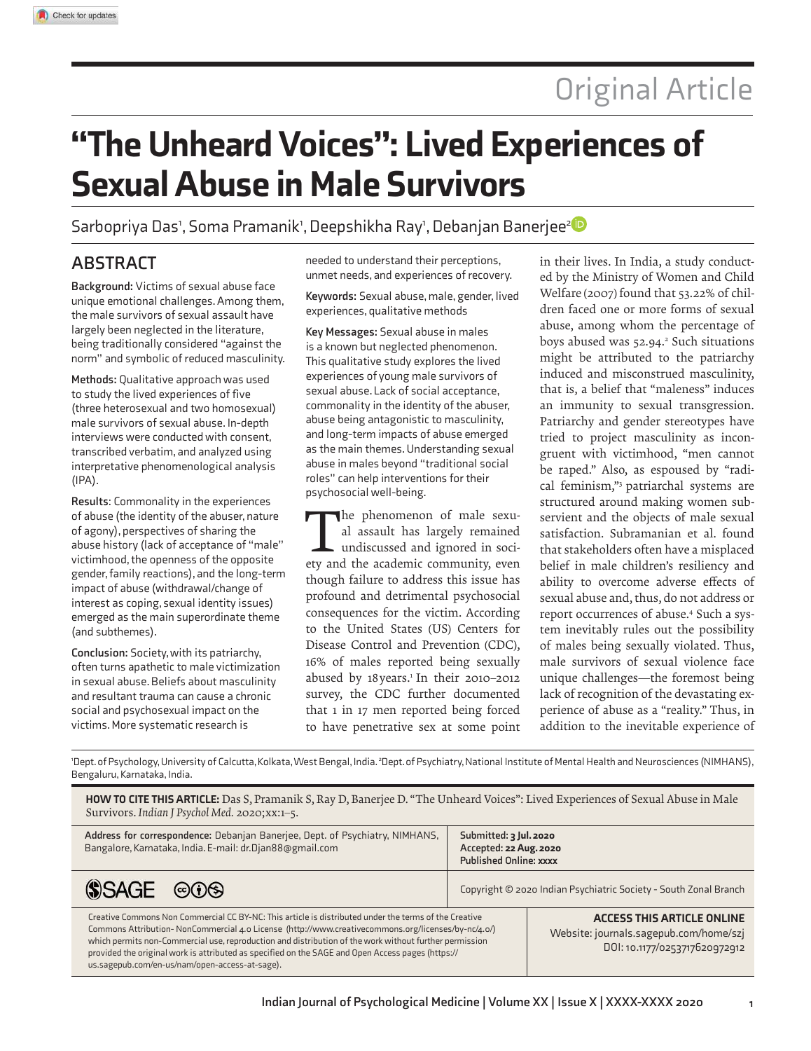# "The Unheard Voices": Lived Experiences of **Sexual Abuse in Male Survivors**

Sarbopriya Das1, Soma Pramanik1, Deepshikha Ray1, Debanjan Banerjee<sup>2</sup>

# **ABSTRACT**

**Background:** Victims of sexual abuse face unique emotional challenges. Among them, the male survivors of sexual assault have largely been neglected in the literature, being traditionally considered "against the norm" and symbolic of reduced masculinity.

**Methods:** Qualitative approach was used to study the lived experiences of five (three heterosexual and two homosexual) male survivors of sexual abuse. In-depth interviews were conducted with consent, transcribed verbatim, and analyzed using interpretative phenomenological analysis (IPA).

**Results**: Commonality in the experiences of abuse (the identity of the abuser, nature of agony), perspectives of sharing the abuse history (lack of acceptance of "male" victimhood, the openness of the opposite gender, family reactions), and the long-term impact of abuse (withdrawal/change of interest as coping, sexual identity issues) emerged as the main superordinate theme (and subthemes).

**Conclusion:** Society, with its patriarchy, often turns apathetic to male victimization in sexual abuse. Beliefs about masculinity and resultant trauma can cause a chronic social and psychosexual impact on the victims. More systematic research is

needed to understand their perceptions, unmet needs, and experiences of recovery.

**Keywords:** Sexual abuse, male, gender, lived experiences, qualitative methods

**Key Messages:** Sexual abuse in males is a known but neglected phenomenon. This qualitative study explores the lived experiences of young male survivors of sexual abuse. Lack of social acceptance, commonality in the identity of the abuser, abuse being antagonistic to masculinity, and long-term impacts of abuse emerged as the main themes. Understanding sexual abuse in males beyond "traditional social roles" can help interventions for their psychosocial well-being.

The phenomenon of male sexual assault has largely remained undiscussed and ignored in society and the academic community, even he phenomenon of male sexual assault has largely remained undiscussed and ignored in socithough failure to address this issue has profound and detrimental psychosocial consequences for the victim. According to the United States (US) Centers for Disease Control and Prevention (CDC), 16% of males reported being sexually abused by 18 years.<sup>1</sup> In their 2010-2012 survey, the CDC further documented that 1 in 17 men reported being forced to have penetrative sex at some point

in their lives. In India, a study conducted by the Ministry of Women and Child Welfare (2007) found that 53.22% of children faced one or more forms of sexual abuse, among whom the percentage of boys abused was 52.94.<sup>2</sup> Such situations might be attributed to the patriarchy induced and misconstrued masculinity, that is, a belief that "maleness" induces an immunity to sexual transgression. Patriarchy and gender stereotypes have tried to project masculinity as incongruent with victimhood, "men cannot be raped." Also, as espoused by "radical feminism,"<sup>3</sup> patriarchal systems are structured around making women subservient and the objects of male sexual satisfaction. Subramanian et al. found that stakeholders often have a misplaced belief in male children's resiliency and ability to overcome adverse effects of sexual abuse and, thus, do not address or report occurrences of abuse.<sup>4</sup> Such a system inevitably rules out the possibility of males being sexually violated. Thus, male survivors of sexual violence face unique challenges—the foremost being lack of recognition of the devastating experience of abuse as a "reality." Thus, in addition to the inevitable experience of

<sup>1</sup>Dept. of Psychology, University of Calcutta, Kolkata, West Bengal, India. <sup>2</sup>Dept. of Psychiatry, National Institute of Mental Health and Neurosciences (NIMHANS), Bengaluru, Karnataka, India.

HOW TO CITE THIS ARTICLE: Das S, Pramanik S, Ray D, Banerjee D. "The Unheard Voices": Lived Experiences of Sexual Abuse in Male Survivors. *Indian J Psychol Med.* 2020;xx:1–5. **Address for correspondence:** Debanjan Banerjee, Dept. of Psychiatry, NIMHANS, **Submitted:** 3 Jul. 2020 Bangalore, Karnataka, India. E-mail: dr.Djan88@gmail.com **Accepted: 22 Aug. 2020 Published Online:** xxxx **SSAGE**  $\circledcirc\circ$ Copyright © 2020 Indian Psychiatric Society - South Zonal Branch Creative Commons Non Commercial CC BY-NC: This article is distributed under the terms of the Creative aCCeSS THIS aRTICle ONlINe Commons Attribution- NonCommercial 4.0 License (http://www.creativecommons.org/licenses/by-nc/4.0/) Website: journals.sagepub.com/home/szj which permits non-Commercial use, reproduction and distribution of the work without further permission DOI: 10.1177/0253717620972912 provided the original work is attributed as specified on the SAGE and Open Access pages (https:// us.sagepub.com/en-us/nam/open-access-at-sage).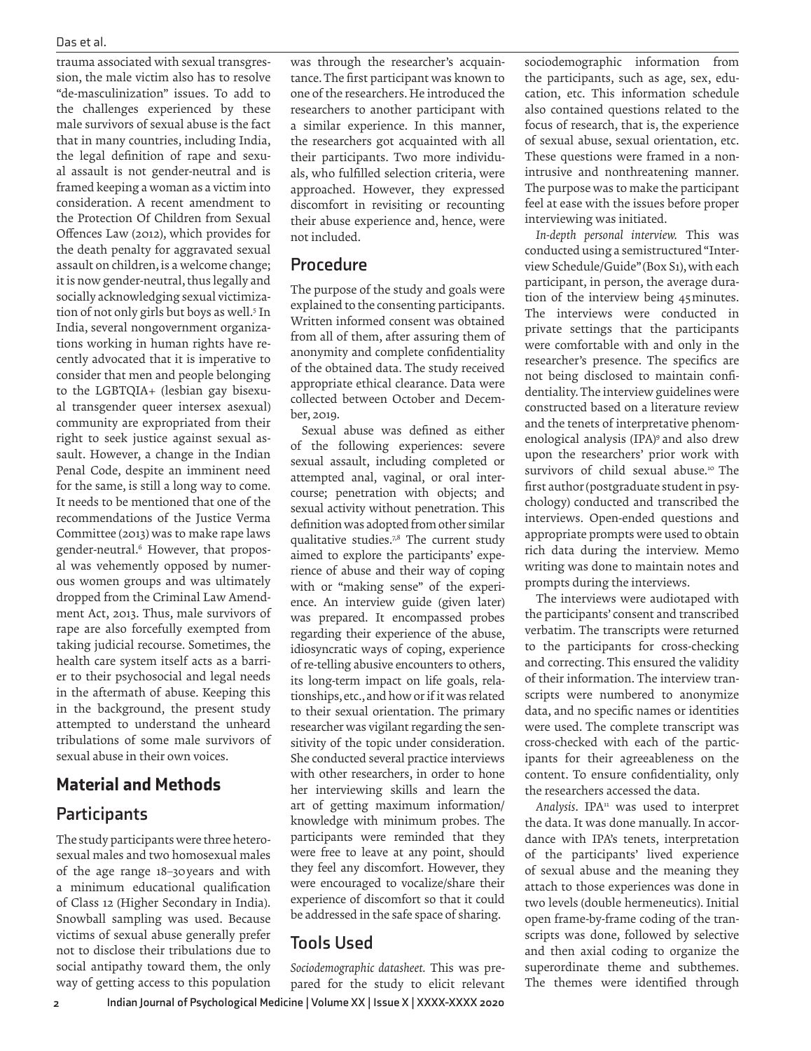trauma associated with sexual transgression, the male victim also has to resolve "de-masculinization" issues. To add to the challenges experienced by these male survivors of sexual abuse is the fact that in many countries, including India, the legal definition of rape and sexual assault is not gender-neutral and is framed keeping a woman as a victim into consideration. A recent amendment to the Protection Of Children from Sexual Offences Law (2012), which provides for the death penalty for aggravated sexual assault on children, is a welcome change; it is now gender-neutral, thus legally and socially acknowledging sexual victimization of not only girls but boys as well.<sup>5</sup> In India, several nongovernment organizations working in human rights have recently advocated that it is imperative to consider that men and people belonging to the LGBTQIA+ (lesbian gay bisexual transgender queer intersex asexual) community are expropriated from their right to seek justice against sexual assault. However, a change in the Indian Penal Code, despite an imminent need for the same, is still a long way to come. It needs to be mentioned that one of the recommendations of the Justice Verma Committee (2013) was to make rape laws gender-neutral.<sup>6</sup> However, that proposal was vehemently opposed by numerous women groups and was ultimately dropped from the Criminal Law Amendment Act, 2013. Thus, male survivors of rape are also forcefully exempted from taking judicial recourse. Sometimes, the health care system itself acts as a barrier to their psychosocial and legal needs in the aftermath of abuse. Keeping this in the background, the present study attempted to understand the unheard tribulations of some male survivors of sexual abuse in their own voices.

## Material and Methods

# **Participants**

The study participants were three heterosexual males and two homosexual males of the age range 18–30 years and with a minimum educational qualification of Class 12 (Higher Secondary in India). Snowball sampling was used. Because victims of sexual abuse generally prefer not to disclose their tribulations due to social antipathy toward them, the only way of getting access to this population

was through the researcher's acquaintance. The first participant was known to one of the researchers. He introduced the researchers to another participant with a similar experience. In this manner, the researchers got acquainted with all their participants. Two more individuals, who fulfilled selection criteria, were approached. However, they expressed discomfort in revisiting or recounting their abuse experience and, hence, were not included.

### **Procedure**

The purpose of the study and goals were explained to the consenting participants. Written informed consent was obtained from all of them, after assuring them of anonymity and complete confidentiality of the obtained data. The study received appropriate ethical clearance. Data were collected between October and December, 2019.

Sexual abuse was defined as either of the following experiences: severe sexual assault, including completed or attempted anal, vaginal, or oral intercourse; penetration with objects; and sexual activity without penetration. This definition was adopted from other similar qualitative studies.7,8 The current study aimed to explore the participants' experience of abuse and their way of coping with or "making sense" of the experience. An interview guide (given later) was prepared. It encompassed probes regarding their experience of the abuse, idiosyncratic ways of coping, experience of re-telling abusive encounters to others, its long-term impact on life goals, relationships, etc., and how or if it was related to their sexual orientation. The primary researcher was vigilant regarding the sensitivity of the topic under consideration. She conducted several practice interviews with other researchers, in order to hone her interviewing skills and learn the art of getting maximum information/ knowledge with minimum probes. The participants were reminded that they were free to leave at any point, should they feel any discomfort. However, they were encouraged to vocalize/share their experience of discomfort so that it could be addressed in the safe space of sharing.

# **Tools Used**

**2 Indian Journal of Psychological Medicine | Volume XX | Issue X | XXXX-XXXX 2020** *Sociodemographic datasheet.* This was prepared for the study to elicit relevant sociodemographic information from the participants, such as age, sex, education, etc. This information schedule also contained questions related to the focus of research, that is, the experience of sexual abuse, sexual orientation, etc. These questions were framed in a nonintrusive and nonthreatening manner. The purpose was to make the participant feel at ease with the issues before proper interviewing was initiated.

*In-depth personal interview.* This was conducted using a semistructured "Interview Schedule/Guide" (Box S1), with each participant, in person, the average duration of the interview being 45 minutes. The interviews were conducted in private settings that the participants were comfortable with and only in the researcher's presence. The specifics are not being disclosed to maintain confidentiality. The interview guidelines were constructed based on a literature review and the tenets of interpretative phenomenological analysis (IPA)<sup>9</sup> and also drew upon the researchers' prior work with survivors of child sexual abuse.<sup>10</sup> The first author (postgraduate student in psychology) conducted and transcribed the interviews. Open-ended questions and appropriate prompts were used to obtain rich data during the interview. Memo writing was done to maintain notes and prompts during the interviews.

The interviews were audiotaped with the participants' consent and transcribed verbatim. The transcripts were returned to the participants for cross-checking and correcting. This ensured the validity of their information. The interview transcripts were numbered to anonymize data, and no specific names or identities were used. The complete transcript was cross-checked with each of the participants for their agreeableness on the content. To ensure confidentiality, only the researchers accessed the data.

Analysis. IPA<sup>11</sup> was used to interpret the data. It was done manually. In accordance with IPA's tenets, interpretation of the participants' lived experience of sexual abuse and the meaning they attach to those experiences was done in two levels (double hermeneutics). Initial open frame-by-frame coding of the transcripts was done, followed by selective and then axial coding to organize the superordinate theme and subthemes. The themes were identified through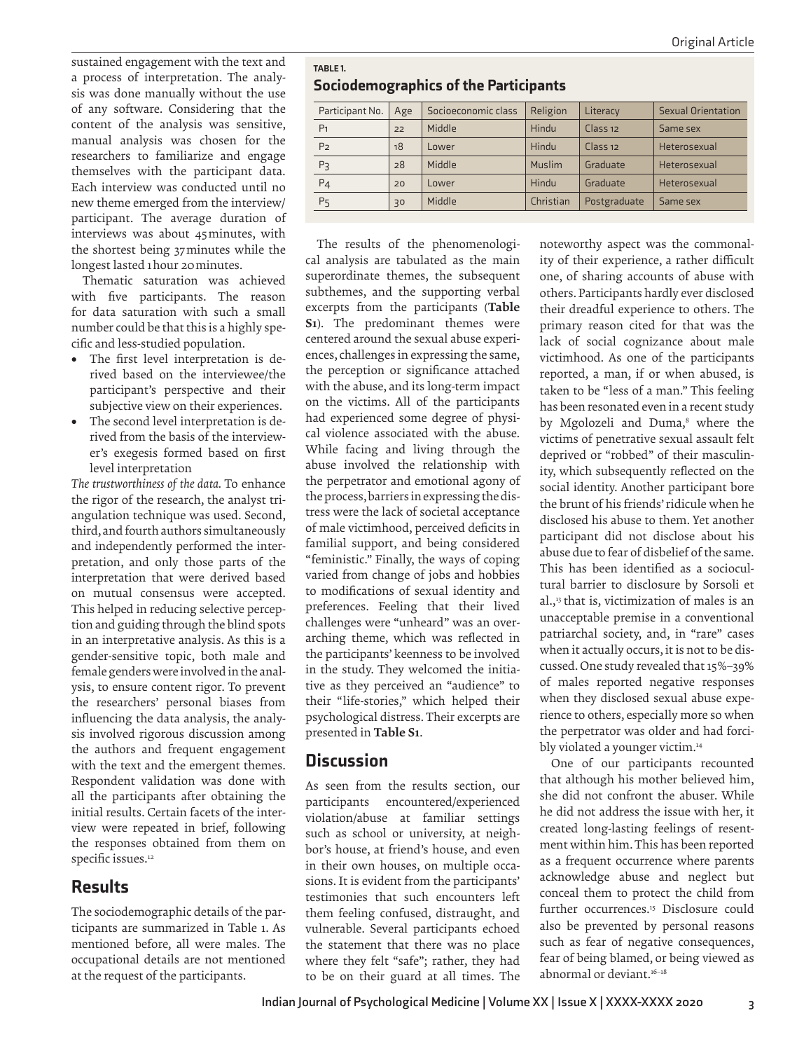sustained engagement with the text and a process of interpretation. The analysis was done manually without the use of any software. Considering that the content of the analysis was sensitive, manual analysis was chosen for the researchers to familiarize and engage themselves with the participant data. Each interview was conducted until no new theme emerged from the interview/ participant. The average duration of interviews was about 45 minutes, with the shortest being 37 minutes while the longest lasted 1 hour 20 minutes.

Thematic saturation was achieved with five participants. The reason for data saturation with such a small number could be that this is a highly specific and less-studied population.

- The first level interpretation is derived based on the interviewee/the participant's perspective and their subjective view on their experiences.
- The second level interpretation is derived from the basis of the interviewer's exegesis formed based on first level interpretation

*The trustworthiness of the data.* To enhance the rigor of the research, the analyst triangulation technique was used. Second, third, and fourth authors simultaneously and independently performed the interpretation, and only those parts of the interpretation that were derived based on mutual consensus were accepted. This helped in reducing selective perception and guiding through the blind spots in an interpretative analysis. As this is a gender-sensitive topic, both male and female genders were involved in the analysis, to ensure content rigor. To prevent the researchers' personal biases from influencing the data analysis, the analysis involved rigorous discussion among the authors and frequent engagement with the text and the emergent themes. Respondent validation was done with all the participants after obtaining the initial results. Certain facets of the interview were repeated in brief, following the responses obtained from them on specific issues.<sup>12</sup>

## Results

The sociodemographic details of the participants are summarized in Table 1. As mentioned before, all were males. The occupational details are not mentioned at the request of the participants.

| TABLE 1.                                     |  |
|----------------------------------------------|--|
| <b>Sociodemographics of the Participants</b> |  |

| Participant No. | Age | Socioeconomic class | Religion      | Literacy            | <b>Sexual Orientation</b> |
|-----------------|-----|---------------------|---------------|---------------------|---------------------------|
| P <sub>1</sub>  | 22  | Middle              | Hindu         | Class <sub>12</sub> | Same sex                  |
| P <sub>2</sub>  | 18  | Lower               | Hindu         | Class <sub>12</sub> | Heterosexual              |
| P <sub>3</sub>  | 28  | Middle              | <b>Muslim</b> | Graduate            | Heterosexual              |
| $P_4$           | 20  | Lower               | Hindu         | Graduate            | Heterosexual              |
| P <sub>5</sub>  | 30  | Middle              | Christian     | Postgraduate        | Same sex                  |

The results of the phenomenological analysis are tabulated as the main superordinate themes, the subsequent subthemes, and the supporting verbal excerpts from the participants (Table S1). The predominant themes were centered around the sexual abuse experiences, challenges in expressing the same, the perception or significance attached with the abuse, and its long-term impact on the victims. All of the participants had experienced some degree of physical violence associated with the abuse. While facing and living through the abuse involved the relationship with the perpetrator and emotional agony of the process, barriers in expressing the distress were the lack of societal acceptance of male victimhood, perceived deficits in familial support, and being considered "feministic." Finally, the ways of coping varied from change of jobs and hobbies to modifications of sexual identity and preferences. Feeling that their lived challenges were "unheard" was an overarching theme, which was reflected in the participants' keenness to be involved in the study. They welcomed the initiative as they perceived an "audience" to their "life-stories," which helped their psychological distress. Their excerpts are presented in Table S1.

## **Discussion**

As seen from the results section, our participants encountered/experienced violation/abuse at familiar settings such as school or university, at neighbor's house, at friend's house, and even in their own houses, on multiple occasions. It is evident from the participants' testimonies that such encounters left them feeling confused, distraught, and vulnerable. Several participants echoed the statement that there was no place where they felt "safe"; rather, they had to be on their guard at all times. The noteworthy aspect was the commonality of their experience, a rather difficult one, of sharing accounts of abuse with others. Participants hardly ever disclosed their dreadful experience to others. The primary reason cited for that was the lack of social cognizance about male victimhood. As one of the participants reported, a man, if or when abused, is taken to be "less of a man." This feeling has been resonated even in a recent study by Mgolozeli and Duma,<sup>8</sup> where the victims of penetrative sexual assault felt deprived or "robbed" of their masculinity, which subsequently reflected on the social identity. Another participant bore the brunt of his friends' ridicule when he disclosed his abuse to them. Yet another participant did not disclose about his abuse due to fear of disbelief of the same. This has been identified as a sociocultural barrier to disclosure by Sorsoli et al.,<sup>13</sup> that is, victimization of males is an unacceptable premise in a conventional patriarchal society, and, in "rare" cases when it actually occurs, it is not to be discussed. One study revealed that 15%–39% of males reported negative responses when they disclosed sexual abuse experience to others, especially more so when the perpetrator was older and had forcibly violated a younger victim.<sup>14</sup>

One of our participants recounted that although his mother believed him, she did not confront the abuser. While he did not address the issue with her, it created long-lasting feelings of resentment within him. This has been reported as a frequent occurrence where parents acknowledge abuse and neglect but conceal them to protect the child from further occurrences.<sup>15</sup> Disclosure could also be prevented by personal reasons such as fear of negative consequences, fear of being blamed, or being viewed as abnormal or deviant.<sup>16-18</sup>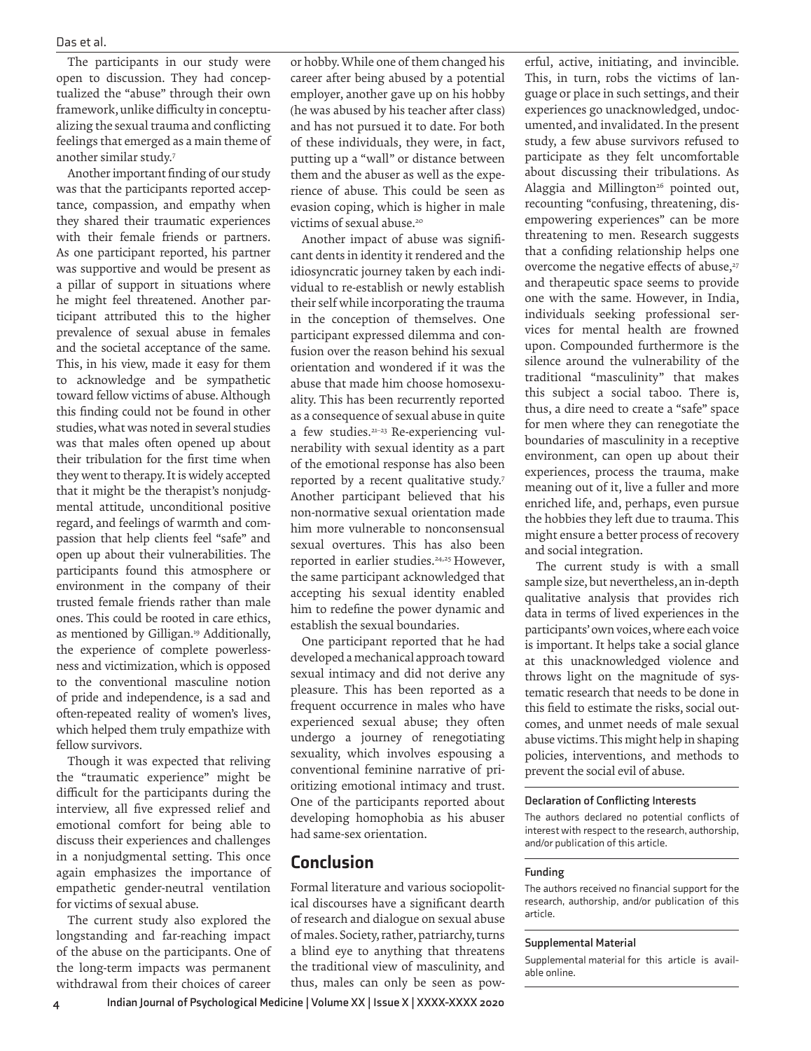The participants in our study were open to discussion. They had conceptualized the "abuse" through their own framework, unlike difficulty in conceptualizing the sexual trauma and conflicting feelings that emerged as a main theme of another similar study.<sup>7</sup>

Another important finding of our study was that the participants reported acceptance, compassion, and empathy when they shared their traumatic experiences with their female friends or partners. As one participant reported, his partner was supportive and would be present as a pillar of support in situations where he might feel threatened. Another participant attributed this to the higher prevalence of sexual abuse in females and the societal acceptance of the same. This, in his view, made it easy for them to acknowledge and be sympathetic toward fellow victims of abuse. Although this finding could not be found in other studies, what was noted in several studies was that males often opened up about their tribulation for the first time when they went to therapy. It is widely accepted that it might be the therapist's nonjudgmental attitude, unconditional positive regard, and feelings of warmth and compassion that help clients feel "safe" and open up about their vulnerabilities. The participants found this atmosphere or environment in the company of their trusted female friends rather than male ones. This could be rooted in care ethics, as mentioned by Gilligan.<sup>19</sup> Additionally, the experience of complete powerlessness and victimization, which is opposed to the conventional masculine notion of pride and independence, is a sad and often-repeated reality of women's lives, which helped them truly empathize with fellow survivors.

Though it was expected that reliving the "traumatic experience" might be difficult for the participants during the interview, all five expressed relief and emotional comfort for being able to discuss their experiences and challenges in a nonjudgmental setting. This once again emphasizes the importance of empathetic gender-neutral ventilation for victims of sexual abuse.

The current study also explored the longstanding and far-reaching impact of the abuse on the participants. One of the long-term impacts was permanent withdrawal from their choices of career

or hobby. While one of them changed his career after being abused by a potential employer, another gave up on his hobby (he was abused by his teacher after class) and has not pursued it to date. For both of these individuals, they were, in fact, putting up a "wall" or distance between them and the abuser as well as the experience of abuse. This could be seen as evasion coping, which is higher in male victims of sexual abuse.<sup>20</sup>

Another impact of abuse was significant dents in identity it rendered and the idiosyncratic journey taken by each individual to re-establish or newly establish their self while incorporating the trauma in the conception of themselves. One participant expressed dilemma and confusion over the reason behind his sexual orientation and wondered if it was the abuse that made him choose homosexuality. This has been recurrently reported as a consequence of sexual abuse in quite a few studies.21–23 Re-experiencing vulnerability with sexual identity as a part of the emotional response has also been reported by a recent qualitative study.<sup>7</sup> Another participant believed that his non-normative sexual orientation made him more vulnerable to nonconsensual sexual overtures. This has also been reported in earlier studies.<sup>24,25</sup> However, the same participant acknowledged that accepting his sexual identity enabled him to redefine the power dynamic and establish the sexual boundaries.

One participant reported that he had developed a mechanical approach toward sexual intimacy and did not derive any pleasure. This has been reported as a frequent occurrence in males who have experienced sexual abuse; they often undergo a journey of renegotiating sexuality, which involves espousing a conventional feminine narrative of prioritizing emotional intimacy and trust. One of the participants reported about developing homophobia as his abuser had same-sex orientation.

#### Conclusion

Formal literature and various sociopolitical discourses have a significant dearth of research and dialogue on sexual abuse of males. Society, rather, patriarchy, turns a blind eye to anything that threatens the traditional view of masculinity, and thus, males can only be seen as pow-

erful, active, initiating, and invincible. This, in turn, robs the victims of language or place in such settings, and their experiences go unacknowledged, undocumented, and invalidated. In the present study, a few abuse survivors refused to participate as they felt uncomfortable about discussing their tribulations. As Alaggia and Millington<sup>26</sup> pointed out, recounting "confusing, threatening, disempowering experiences" can be more threatening to men. Research suggests that a confiding relationship helps one overcome the negative effects of abuse,<sup>27</sup> and therapeutic space seems to provide one with the same. However, in India, individuals seeking professional services for mental health are frowned upon. Compounded furthermore is the silence around the vulnerability of the traditional "masculinity" that makes this subject a social taboo. There is, thus, a dire need to create a "safe" space for men where they can renegotiate the boundaries of masculinity in a receptive environment, can open up about their experiences, process the trauma, make meaning out of it, live a fuller and more enriched life, and, perhaps, even pursue the hobbies they left due to trauma. This might ensure a better process of recovery and social integration.

The current study is with a small sample size, but nevertheless, an in-depth qualitative analysis that provides rich data in terms of lived experiences in the participants' own voices, where each voice is important. It helps take a social glance at this unacknowledged violence and throws light on the magnitude of systematic research that needs to be done in this field to estimate the risks, social outcomes, and unmet needs of male sexual abuse victims. This might help in shaping policies, interventions, and methods to prevent the social evil of abuse.

#### **Declaration of Conflicting Interests**

The authors declared no potential conflicts of interest with respect to the research, authorship, and/or publication of this article.

#### **Funding**

The authors received no financial support for the research, authorship, and/or publication of this article.

#### **Supplemental Material**

Supplemental material for this article is available online.